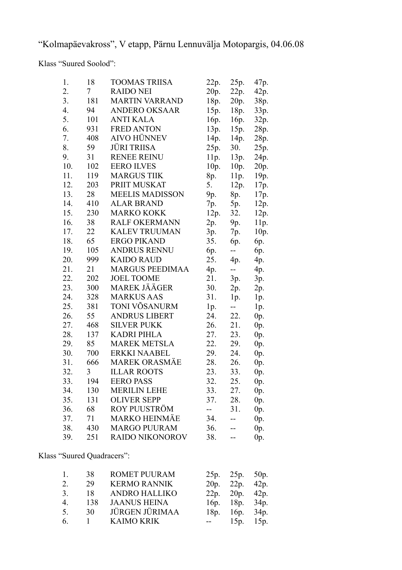"Kolmapäevakross", V etapp, Pärnu Lennuvälja Motopargis, 04.06.08

Klass "Suured Soolod":

| 1.  | 18  | <b>TOOMAS TRIISA</b>   | 22p. | 25p.           | 47p.   |
|-----|-----|------------------------|------|----------------|--------|
| 2.  | 7   | <b>RAIDO NEI</b>       | 20p. | 22p.           | 42p.   |
| 3.  | 181 | <b>MARTIN VARRAND</b>  | 18p. | 20p.           | 38p.   |
| 4.  | 94  | <b>ANDERO OKSAAR</b>   | 15p. | 18p.           | 33p.   |
| 5.  | 101 | <b>ANTI KALA</b>       | 16p. | 16p.           | 32p.   |
| 6.  | 931 | <b>FRED ANTON</b>      | 13p. | 15p.           | 28p.   |
| 7.  | 408 | <b>AIVO HÜNNEV</b>     | 14p. | 14p.           | 28p.   |
| 8.  | 59  | <b>JÜRI TRIISA</b>     | 25p. | 30.            | 25p.   |
| 9.  | 31  | <b>RENEE REINU</b>     | 11p. | 13p.           | 24p.   |
| 10. | 102 | <b>EERO ILVES</b>      | 10p. | 10p.           | 20p.   |
| 11. | 119 | <b>MARGUS TIIK</b>     | 8p.  | 11p.           | 19p.   |
| 12. | 203 | PRIIT MUSKAT           | 5.   | 12p.           | 17p.   |
| 13. | 28  | <b>MEELIS MADISSON</b> | 9p.  | 8p.            | 17p.   |
| 14. | 410 | <b>ALAR BRAND</b>      | 7p.  | 5p.            | 12p.   |
| 15. | 230 | <b>MARKO KOKK</b>      | 12p. | 32.            | 12p.   |
| 16. | 38  | <b>RALF OKERMANN</b>   | 2p.  | 9p.            | 11p.   |
| 17. | 22  | KALEV TRUUMAN          | 3p.  | 7p.            | 10p.   |
| 18. | 65  | <b>ERGO PIKAND</b>     | 35.  | 6p.            | 6p.    |
| 19. | 105 | <b>ANDRUS RENNU</b>    | 6p.  | --             | 6p.    |
| 20. | 999 | <b>KAIDO RAUD</b>      | 25.  | 4p.            | 4p.    |
| 21. | 21  | <b>MARGUS PEEDIMAA</b> | 4p.  | $\overline{a}$ | 4p.    |
| 22. | 202 | <b>JOEL TOOME</b>      | 21.  | 3p.            | 3p.    |
| 23. | 300 | MAREK JÄÄGER           | 30.  | 2p.            | 2p.    |
| 24. | 328 | <b>MARKUS AAS</b>      | 31.  | 1p.            | 1p.    |
| 25. | 381 | TONI VÕSANURM          | lp.  | $-$            | 1p.    |
| 26. | 55  | <b>ANDRUS LIBERT</b>   | 24.  | 22.            | $0p$ . |
| 27. | 468 | <b>SILVER PUKK</b>     | 26.  | 21.            | $0p$ . |
| 28. | 137 | <b>KADRI PIHLA</b>     | 27.  | 23.            | $0p$ . |
| 29. | 85  | <b>MAREK METSLA</b>    | 22.  | 29.            | $0p$ . |
| 30. | 700 | <b>ERKKI NAABEL</b>    | 29.  | 24.            | $0p$ . |
| 31. | 666 | <b>MAREK ORASMÄE</b>   | 28.  | 26.            | $0p$ . |
| 32. | 3   | <b>ILLAR ROOTS</b>     | 23.  | 33.            | $0p$ . |
| 33. | 194 | <b>EERO PASS</b>       | 32.  | 25.            | 0p.    |
| 34. | 130 | <b>MERILIN LEHE</b>    | 33.  | 27.            | $0p$ . |
| 35. | 131 | <b>OLIVER SEPP</b>     | 37.  | 28.            | 0p.    |
| 36. | 68  | ROY PUUSTRÖM           | --   | 31.            | $0p$ . |
| 37. | 71  | <b>MARKO HEINMÄE</b>   | 34.  | --             | $0p$ . |
| 38. | 430 | <b>MARGO PUURAM</b>    | 36.  |                | 0p.    |
| 39. | 251 | RAIDO NIKONOROV        | 38.  |                | 0p.    |

Klass "Suured Quadracers":

| $\mathbf{1}$   | 38    | <b>ROMET PUURAM</b>   | 25p. 25p. 50p.       |  |
|----------------|-------|-----------------------|----------------------|--|
| 2.             | 29    | <b>KERMO RANNIK</b>   | $20p.$ $22p.$ $42p.$ |  |
| 3.             | 18    | <b>ANDRO HALLIKO</b>  | 22p. 20p. 42p.       |  |
| $\overline{4}$ | 138   | <b>JAANUS HEINA</b>   | 16p. 18p. 34p.       |  |
| 5 <sub>1</sub> | 30    | <b>JÜRGEN JÜRIMAA</b> | 18p. 16p. 34p.       |  |
| 6              | $1 -$ | <b>KAIMO KRIK</b>     | $-15p.$ 15p.         |  |